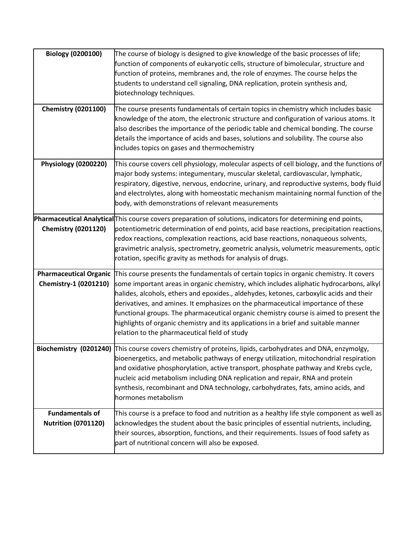| <b>Biology (0200100)</b>                               | The course of biology is designed to give knowledge of the basic processes of life;<br>function of components of eukaryotic cells, structure of bimolecular, structure and<br>function of proteins, membranes and, the role of enzymes. The course helps the<br>students to understand cell signaling, DNA replication, protein synthesis and,<br>biotechnology techniques.                                                                                                                                                                                                                         |
|--------------------------------------------------------|-----------------------------------------------------------------------------------------------------------------------------------------------------------------------------------------------------------------------------------------------------------------------------------------------------------------------------------------------------------------------------------------------------------------------------------------------------------------------------------------------------------------------------------------------------------------------------------------------------|
| <b>Chemistry (0201100)</b>                             | The course presents fundamentals of certain topics in chemistry which includes basic<br>knowledge of the atom, the electronic structure and configuration of various atoms. It<br>also describes the importance of the periodic table and chemical bonding. The course<br>details the importance of acids and bases, solutions and solubility. The course also<br>includes topics on gases and thermochemistry                                                                                                                                                                                      |
| Physiology (0200220)                                   | This course covers cell physiology, molecular aspects of cell biology, and the functions of<br>major body systems: integumentary, muscular skeletal, cardiovascular, lymphatic,<br>respiratory, digestive, nervous, endocrine, urinary, and reproductive systems, body fluid<br>and electrolytes, along with homeostatic mechanism maintaining normal function of the<br>body, with demonstrations of relevant measurements                                                                                                                                                                         |
| <b>Chemistry (0201120)</b>                             | Pharmaceutical Analytical This course covers preparation of solutions, indicators for determining end points,<br>potentiometric determination of end points, acid base reactions, precipitation reactions,<br>redox reactions, complexation reactions, acid base reactions, nonaqueous solvents,<br>gravimetric analysis, spectrometry, geometric analysis, volumetric measurements, optic<br>rotation, specific gravity as methods for analysis of drugs.                                                                                                                                          |
| <b>Pharmaceutical Organic</b><br>Chemistry-1 (0201210) | This course presents the fundamentals of certain topics in organic chemistry. It covers<br>some important areas in organic chemistry, which includes aliphatic hydrocarbons, alkyl<br>halides, alcohols, ethers and epoxides., aldehydes, ketones, carboxylic acids and their<br>derivatives, and amines. It emphasizes on the pharmaceutical importance of these<br>functional groups. The pharmaceutical organic chemistry course is aimed to present the<br>highlights of organic chemistry and its applications in a brief and suitable manner<br>relation to the pharmaceutical field of study |
|                                                        | Biochemistry (0201240) This course covers chemistry of proteins, lipids, carbohydrates and DNA, enzymolgy,<br>bioenergetics, and metabolic pathways of energy utilization, mitochondrial respiration<br>and oxidative phosphorylation, active transport, phosphate pathway and Krebs cycle,<br>nucleic acid metabolism including DNA replication and repair, RNA and protein<br>synthesis, recombinant and DNA technology, carbohydrates, fats, amino acids, and<br>hormones metabolism                                                                                                             |
| <b>Fundamentals of</b><br><b>Nutrition (0701120)</b>   | This course is a preface to food and nutrition as a healthy life style component as well as<br>acknowledges the student about the basic principles of essential nutrients, including,<br>their sources, absorption, functions, and their requirements. Issues of food safety as<br>part of nutritional concern will also be exposed.                                                                                                                                                                                                                                                                |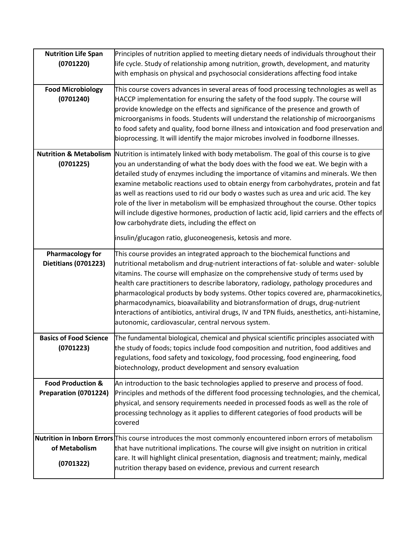| <b>Nutrition Life Span</b>    | Principles of nutrition applied to meeting dietary needs of individuals throughout their                       |
|-------------------------------|----------------------------------------------------------------------------------------------------------------|
| (0701220)                     | life cycle. Study of relationship among nutrition, growth, development, and maturity                           |
|                               | with emphasis on physical and psychosocial considerations affecting food intake                                |
|                               |                                                                                                                |
| <b>Food Microbiology</b>      | This course covers advances in several areas of food processing technologies as well as                        |
| (0701240)                     | HACCP implementation for ensuring the safety of the food supply. The course will                               |
|                               | provide knowledge on the effects and significance of the presence and growth of                                |
|                               | microorganisms in foods. Students will understand the relationship of microorganisms                           |
|                               | to food safety and quality, food borne illness and intoxication and food preservation and                      |
|                               | bioprocessing. It will identify the major microbes involved in foodborne illnesses.                            |
|                               | Nutrition & Metabolism Nutrition is intimately linked with body metabolism. The goal of this course is to give |
|                               |                                                                                                                |
| (0701225)                     | you an understanding of what the body does with the food we eat. We begin with a                               |
|                               | detailed study of enzymes including the importance of vitamins and minerals. We then                           |
|                               | examine metabolic reactions used to obtain energy from carbohydrates, protein and fat                          |
|                               | as well as reactions used to rid our body o wastes such as urea and uric acid. The key                         |
|                               | role of the liver in metabolism will be emphasized throughout the course. Other topics                         |
|                               | will include digestive hormones, production of lactic acid, lipid carriers and the effects of                  |
|                               | low carbohydrate diets, including the effect on                                                                |
|                               | insulin/glucagon ratio, gluconeogenesis, ketosis and more.                                                     |
| <b>Pharmacology for</b>       | This course provides an integrated approach to the biochemical functions and                                   |
| <b>Dietitians (0701223)</b>   | nutritional metabolism and drug-nutrient interactions of fat-soluble and water-soluble                         |
|                               | vitamins. The course will emphasize on the comprehensive study of terms used by                                |
|                               | health care practitioners to describe laboratory, radiology, pathology procedures and                          |
|                               | pharmacological products by body systems. Other topics covered are, pharmacokinetics,                          |
|                               | pharmacodynamics, bioavailability and biotransformation of drugs, drug-nutrient                                |
|                               | interactions of antibiotics, antiviral drugs, IV and TPN fluids, anesthetics, anti-histamine,                  |
|                               | autonomic, cardiovascular, central nervous system.                                                             |
|                               |                                                                                                                |
| <b>Basics of Food Science</b> | The fundamental biological, chemical and physical scientific principles associated with                        |
| (0701223)                     | the study of foods; topics include food composition and nutrition, food additives and                          |
|                               | regulations, food safety and toxicology, food processing, food engineering, food                               |
|                               | biotechnology, product development and sensory evaluation                                                      |
| <b>Food Production &amp;</b>  | An introduction to the basic technologies applied to preserve and process of food.                             |
| Preparation (0701224)         | Principles and methods of the different food processing technologies, and the chemical,                        |
|                               | physical, and sensory requirements needed in processed foods as well as the role of                            |
|                               | processing technology as it applies to different categories of food products will be                           |
|                               | covered                                                                                                        |
|                               |                                                                                                                |
|                               | Nutrition in Inborn Errors This course introduces the most commonly encountered inborn errors of metabolism    |
| of Metabolism                 | that have nutritional implications. The course will give insight on nutrition in critical                      |
| (0701322)                     | care. It will highlight clinical presentation, diagnosis and treatment; mainly, medical                        |
|                               | nutrition therapy based on evidence, previous and current research                                             |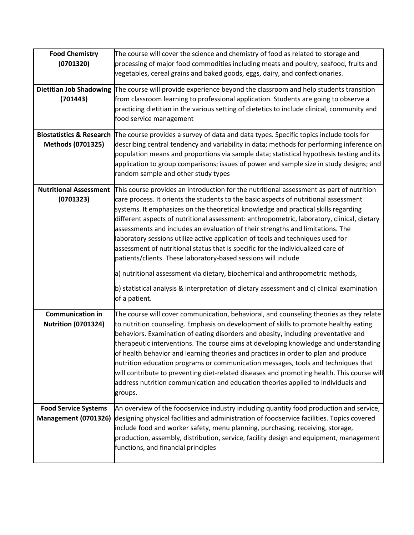| <b>Food Chemistry</b><br>(0701320)                         | The course will cover the science and chemistry of food as related to storage and<br>processing of major food commodities including meats and poultry, seafood, fruits and<br>vegetables, cereal grains and baked goods, eggs, dairy, and confectionaries.                                                                                                                                                                                                                                                                                                                                                                                                                                                                                                                                                                                                                                       |
|------------------------------------------------------------|--------------------------------------------------------------------------------------------------------------------------------------------------------------------------------------------------------------------------------------------------------------------------------------------------------------------------------------------------------------------------------------------------------------------------------------------------------------------------------------------------------------------------------------------------------------------------------------------------------------------------------------------------------------------------------------------------------------------------------------------------------------------------------------------------------------------------------------------------------------------------------------------------|
| (701443)                                                   | Dietitian Job Shadowing The course will provide experience beyond the classroom and help students transition<br>from classroom learning to professional application. Students are going to observe a<br>practicing dietitian in the various setting of dietetics to include clinical, community and<br>food service management                                                                                                                                                                                                                                                                                                                                                                                                                                                                                                                                                                   |
| <b>Methods (0701325)</b>                                   | Biostatistics & Research The course provides a survey of data and data types. Specific topics include tools for<br>describing central tendency and variability in data; methods for performing inference on<br>population means and proportions via sample data; statistical hypothesis testing and its<br>application to group comparisons; issues of power and sample size in study designs; and<br>random sample and other study types                                                                                                                                                                                                                                                                                                                                                                                                                                                        |
| <b>Nutritional Assessment</b><br>(0701323)                 | This course provides an introduction for the nutritional assessment as part of nutrition<br>care process. It orients the students to the basic aspects of nutritional assessment<br>systems. It emphasizes on the theoretical knowledge and practical skills regarding<br>different aspects of nutritional assessment: anthropometric, laboratory, clinical, dietary<br>assessments and includes an evaluation of their strengths and limitations. The<br>laboratory sessions utilize active application of tools and techniques used for<br>assessment of nutritional status that is specific for the individualized care of<br>patients/clients. These laboratory-based sessions will include<br>a) nutritional assessment via dietary, biochemical and anthropometric methods,<br>b) statistical analysis & interpretation of dietary assessment and c) clinical examination<br>of a patient. |
| <b>Communication in</b><br><b>Nutrition (0701324)</b>      | The course will cover communication, behavioral, and counseling theories as they relate<br>to nutrition counseling. Emphasis on development of skills to promote healthy eating<br>behaviors. Examination of eating disorders and obesity, including preventative and<br>therapeutic interventions. The course aims at developing knowledge and understanding<br>of health behavior and learning theories and practices in order to plan and produce<br>nutrition education programs or communication messages, tools and techniques that<br>will contribute to preventing diet-related diseases and promoting health. This course will<br>address nutrition communication and education theories applied to individuals and<br>groups.                                                                                                                                                          |
| <b>Food Service Systems</b><br><b>Management (0701326)</b> | An overview of the foodservice industry including quantity food production and service,<br>designing physical facilities and administration of foodservice facilities. Topics covered<br>include food and worker safety, menu planning, purchasing, receiving, storage,<br>production, assembly, distribution, service, facility design and equipment, management<br>functions, and financial principles                                                                                                                                                                                                                                                                                                                                                                                                                                                                                         |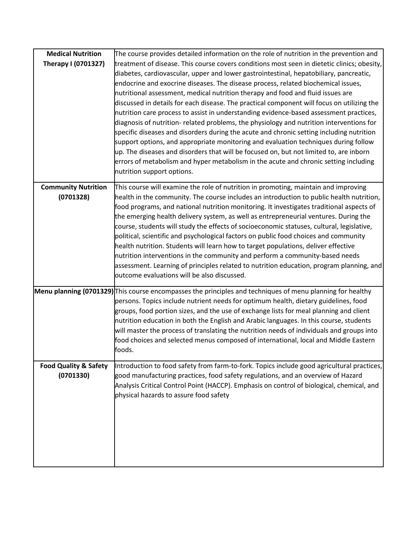| <b>Medical Nutrition</b>                      | The course provides detailed information on the role of nutrition in the prevention and                                                                                                                                                                                                                                                                                                                                                                                                                                                                                                                                                                                                                                                                                                                                                                                                                                                                                                                                                              |
|-----------------------------------------------|------------------------------------------------------------------------------------------------------------------------------------------------------------------------------------------------------------------------------------------------------------------------------------------------------------------------------------------------------------------------------------------------------------------------------------------------------------------------------------------------------------------------------------------------------------------------------------------------------------------------------------------------------------------------------------------------------------------------------------------------------------------------------------------------------------------------------------------------------------------------------------------------------------------------------------------------------------------------------------------------------------------------------------------------------|
| Therapy I (0701327)                           | treatment of disease. This course covers conditions most seen in dietetic clinics; obesity,<br>diabetes, cardiovascular, upper and lower gastrointestinal, hepatobiliary, pancreatic,<br>endocrine and exocrine diseases. The disease process, related biochemical issues,<br>nutritional assessment, medical nutrition therapy and food and fluid issues are<br>discussed in details for each disease. The practical component will focus on utilizing the<br>nutrition care process to assist in understanding evidence-based assessment practices,<br>diagnosis of nutrition- related problems, the physiology and nutrition interventions for<br>specific diseases and disorders during the acute and chronic setting including nutrition<br>support options, and appropriate monitoring and evaluation techniques during follow<br>up. The diseases and disorders that will be focused on, but not limited to, are inborn<br>errors of metabolism and hyper metabolism in the acute and chronic setting including<br>nutrition support options. |
| <b>Community Nutrition</b><br>(0701328)       | This course will examine the role of nutrition in promoting, maintain and improving<br>health in the community. The course includes an introduction to public health nutrition,<br>food programs, and national nutrition monitoring. It investigates traditional aspects of<br>the emerging health delivery system, as well as entrepreneurial ventures. During the<br>course, students will study the effects of socioeconomic statuses, cultural, legislative,<br>political, scientific and psychological factors on public food choices and community<br>health nutrition. Students will learn how to target populations, deliver effective<br>nutrition interventions in the community and perform a community-based needs<br>assessment. Learning of principles related to nutrition education, program planning, and<br>outcome evaluations will be also discussed.                                                                                                                                                                            |
|                                               | Menu planning (0701329) This course encompasses the principles and techniques of menu planning for healthy<br>persons. Topics include nutrient needs for optimum health, dietary guidelines, food<br>groups, food portion sizes, and the use of exchange lists for meal planning and client<br>nutrition education in both the English and Arabic languages. In this course, students<br>will master the process of translating the nutrition needs of individuals and groups into<br>food choices and selected menus composed of international, local and Middle Eastern<br>foods.                                                                                                                                                                                                                                                                                                                                                                                                                                                                  |
| <b>Food Quality &amp; Safety</b><br>(0701330) | Introduction to food safety from farm-to-fork. Topics include good agricultural practices,<br>good manufacturing practices, food safety regulations, and an overview of Hazard<br>Analysis Critical Control Point (HACCP). Emphasis on control of biological, chemical, and<br>physical hazards to assure food safety                                                                                                                                                                                                                                                                                                                                                                                                                                                                                                                                                                                                                                                                                                                                |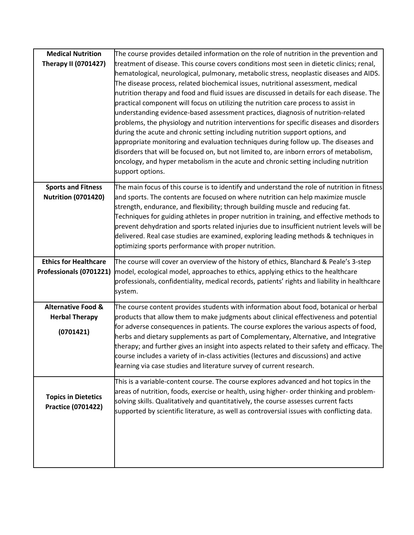| <b>Medical Nutrition</b><br><b>Therapy II (0701427)</b>             | The course provides detailed information on the role of nutrition in the prevention and<br>treatment of disease. This course covers conditions most seen in dietetic clinics; renal,                                                                                                                                                                                                                                                                                                                                                                                                                                                                                                                                                                                                                                                                                                                                            |
|---------------------------------------------------------------------|---------------------------------------------------------------------------------------------------------------------------------------------------------------------------------------------------------------------------------------------------------------------------------------------------------------------------------------------------------------------------------------------------------------------------------------------------------------------------------------------------------------------------------------------------------------------------------------------------------------------------------------------------------------------------------------------------------------------------------------------------------------------------------------------------------------------------------------------------------------------------------------------------------------------------------|
|                                                                     | hematological, neurological, pulmonary, metabolic stress, neoplastic diseases and AIDS.<br>The disease process, related biochemical issues, nutritional assessment, medical<br>nutrition therapy and food and fluid issues are discussed in details for each disease. The<br>practical component will focus on utilizing the nutrition care process to assist in<br>understanding evidence-based assessment practices, diagnosis of nutrition-related<br>problems, the physiology and nutrition interventions for specific diseases and disorders<br>during the acute and chronic setting including nutrition support options, and<br>appropriate monitoring and evaluation techniques during follow up. The diseases and<br>disorders that will be focused on, but not limited to, are inborn errors of metabolism,<br>oncology, and hyper metabolism in the acute and chronic setting including nutrition<br>support options. |
| <b>Sports and Fitness</b><br><b>Nutrition (0701420)</b>             | The main focus of this course is to identify and understand the role of nutrition in fitness<br>and sports. The contents are focused on where nutrition can help maximize muscle<br>strength, endurance, and flexibility; through building muscle and reducing fat.<br>Techniques for guiding athletes in proper nutrition in training, and effective methods to<br>prevent dehydration and sports related injuries due to insufficient nutrient levels will be<br>delivered. Real case studies are examined, exploring leading methods & techniques in<br>optimizing sports performance with proper nutrition.                                                                                                                                                                                                                                                                                                                 |
| <b>Ethics for Healthcare</b><br>Professionals (0701221)             | The course will cover an overview of the history of ethics, Blanchard & Peale's 3-step<br>model, ecological model, approaches to ethics, applying ethics to the healthcare<br>professionals, confidentiality, medical records, patients' rights and liability in healthcare<br>system.                                                                                                                                                                                                                                                                                                                                                                                                                                                                                                                                                                                                                                          |
| <b>Alternative Food &amp;</b><br><b>Herbal Therapy</b><br>(0701421) | The course content provides students with information about food, botanical or herbal<br>products that allow them to make judgments about clinical effectiveness and potential<br>for adverse consequences in patients. The course explores the various aspects of food,<br>herbs and dietary supplements as part of Complementary, Alternative, and Integrative<br>therapy; and further gives an insight into aspects related to their safety and efficacy. The<br>course includes a variety of in-class activities (lectures and discussions) and active<br>learning via case studies and literature survey of current research.                                                                                                                                                                                                                                                                                              |
| <b>Topics in Dietetics</b><br><b>Practice (0701422)</b>             | This is a variable-content course. The course explores advanced and hot topics in the<br>areas of nutrition, foods, exercise or health, using higher- order thinking and problem-<br>solving skills. Qualitatively and quantitatively, the course assesses current facts<br>supported by scientific literature, as well as controversial issues with conflicting data.                                                                                                                                                                                                                                                                                                                                                                                                                                                                                                                                                          |